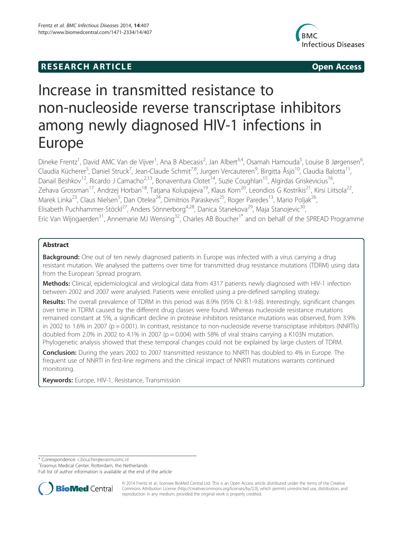# **RESEARCH ARTICLE Example 2014 12:30 The SEAR CHA RESEARCH ARTICLE**



# Increase in transmitted resistance to non-nucleoside reverse transcriptase inhibitors among newly diagnosed HIV-1 infections in Europe

Dineke Frentz<sup>1</sup>, David AMC Van de Vijver<sup>1</sup>, Ana B Abecasis<sup>2</sup>, Jan Albert<sup>3,4</sup>, Osamah Hamouda<sup>5</sup>, Louise B Jørgensen<sup>6</sup> י<br>, Claudia Kücherer<sup>5</sup>, Daniel Struck<sup>7</sup>, Jean-Claude Schmit<sup>7,8</sup>, Jurgen Vercauteren<sup>9</sup>, Birgitta Åsjö<sup>10</sup>, Claudia Balotta<sup>11</sup>, Danail Beshkov<sup>12</sup>, Ricardo J Camacho<sup>2,13</sup>, Bonaventura Clotet<sup>14</sup>, Suzie Coughlan<sup>15</sup>, Algirdas Griskevicius<sup>16</sup>, Zehava Grossman<sup>17</sup>, Andrzej Horban<sup>18</sup>, Tatjana Kolupajeva<sup>19</sup>, Klaus Korn<sup>20</sup>, Leondios G Kostrikis<sup>21</sup>, Kirsi Liitsola<sup>22</sup>, Marek Linka<sup>23</sup>, Claus Nielsen<sup>5</sup>, Dan Otelea<sup>24</sup>, Dimitrios Paraskevis<sup>25</sup>, Roger Paredes<sup>13</sup>, Mario Poljak<sup>26</sup>, Elisabeth Puchhammer-Stöckl<sup>27</sup>, Anders Sönnerborg<sup>4,28</sup>, Danica Stanekova<sup>29</sup>, Maja Stanojevic<sup>30</sup>, Eric Van Wijngaerden<sup>31</sup>, Annemarie MJ Wensing<sup>32</sup>, Charles AB Boucher<sup>1\*</sup> and on behalf of the SPREAD Programme

# Abstract

**Background:** One out of ten newly diagnosed patients in Europe was infected with a virus carrying a drug resistant mutation. We analysed the patterns over time for transmitted drug resistance mutations (TDRM) using data from the European Spread program.

Methods: Clinical, epidemiological and virological data from 4317 patients newly diagnosed with HIV-1 infection between 2002 and 2007 were analysed. Patients were enrolled using a pre-defined sampling strategy.

Results: The overall prevalence of TDRM in this period was 8.9% (95% CI: 8.1-9.8). Interestingly, significant changes over time in TDRM caused by the different drug classes were found. Whereas nucleoside resistance mutations remained constant at 5%, a significant decline in protease inhibitors resistance mutations was observed, from 3.9% in 2002 to 1.6% in 2007 ( $p = 0.001$ ). In contrast, resistance to non-nucleoside reverse transcriptase inhibitors (NNRTIs) doubled from 2.0% in 2002 to 4.1% in 2007 ( $p = 0.004$ ) with 58% of viral strains carrying a K103N mutation. Phylogenetic analysis showed that these temporal changes could not be explained by large clusters of TDRM.

**Conclusion:** During the years 2002 to 2007 transmitted resistance to NNRTI has doubled to 4% in Europe. The frequent use of NNRTI in first-line regimens and the clinical impact of NNRTI mutations warrants continued monitoring.

Keywords: Europe, HIV-1, Resistance, Transmission

\* Correspondence: c.boucher@erasmusmc.nl <sup>1</sup>

<sup>1</sup> Erasmus Medical Center, Rotterdam, the Netherlands

Full list of author information is available at the end of the article



© 2014 Frentz et al.; licensee BioMed Central Ltd. This is an Open Access article distributed under the terms of the Creative Commons Attribution License (http://creativecommons.org/licenses/by/2.0), which permits unrestricted use, distribution, and reproduction in any medium, provided the original work is properly credited.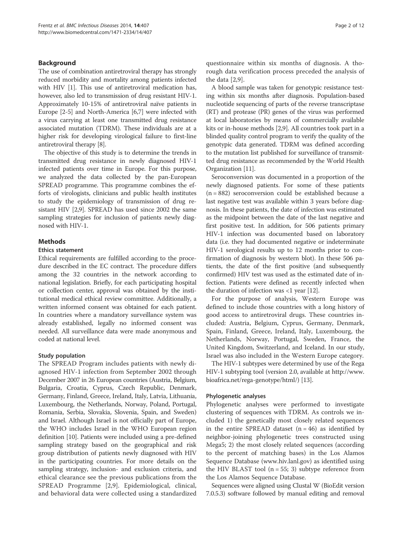# Background

The use of combination antiretroviral therapy has strongly reduced morbidity and mortality among patients infected with HIV [1]. This use of antiretroviral medication has, however, also led to transmission of drug resistant HIV-1. Approximately 10-15% of antiretroviral naïve patients in Europe [2-5] and North-America [6,7] were infected with a virus carrying at least one transmitted drug resistance associated mutation (TDRM). These individuals are at a higher risk for developing virological failure to first-line antiretroviral therapy [8].

The objective of this study is to determine the trends in transmitted drug resistance in newly diagnosed HIV-1 infected patients over time in Europe. For this purpose, we analyzed the data collected by the pan-European SPREAD programme. This programme combines the efforts of virologists, clinicians and public health institutes to study the epidemiology of transmission of drug resistant HIV [2,9]. SPREAD has used since 2002 the same sampling strategies for inclusion of patients newly diagnosed with HIV-1.

# **Methods**

## Ethics statement

Ethical requirements are fulfilled according to the procedure described in the EC contract. The procedure differs among the 32 countries in the network according to national legislation. Briefly, for each participating hospital or collection center, approval was obtained by the institutional medical ethical review committee. Additionally, a written informed consent was obtained for each patient. In countries where a mandatory surveillance system was already established, legally no informed consent was needed. All surveillance data were made anonymous and coded at national level.

# Study population

The SPREAD Program includes patients with newly diagnosed HIV-1 infection from September 2002 through December 2007 in 26 European countries (Austria, Belgium, Bulgaria, Croatia, Cyprus, Czech Republic, Denmark, Germany, Finland, Greece, Ireland, Italy, Latvia, Lithuania, Luxembourg, the Netherlands, Norway, Poland, Portugal, Romania, Serbia, Slovakia, Slovenia, Spain, and Sweden) and Israel. Although Israel is not officially part of Europe, the WHO includes Israel in the WHO European region definition [10]. Patients were included using a pre-defined sampling strategy based on the geographical and risk group distribution of patients newly diagnosed with HIV in the participating countries. For more details on the sampling strategy, inclusion- and exclusion criteria, and ethical clearance see the previous publications from the SPREAD Programme [2,9]. Epidemiological, clinical, and behavioral data were collected using a standardized questionnaire within six months of diagnosis. A thorough data verification process preceded the analysis of the data [2,9].

A blood sample was taken for genotypic resistance testing within six months after diagnosis. Population-based nucleotide sequencing of parts of the reverse transcriptase (RT) and protease (PR) genes of the virus was performed at local laboratories by means of commercially available kits or in-house methods [2,9]. All countries took part in a blinded quality control program to verify the quality of the genotypic data generated. TDRM was defined according to the mutation list published for surveillance of transmitted drug resistance as recommended by the World Health Organization [11].

Seroconversion was documented in a proportion of the newly diagnosed patients. For some of these patients (n = 882) seroconversion could be established because a last negative test was available within 3 years before diagnosis. In these patients, the date of infection was estimated as the midpoint between the date of the last negative and first positive test. In addition, for 506 patients primary HIV-1 infection was documented based on laboratory data (i.e. they had documented negative or indeterminate HIV-1 serological results up to 12 months prior to confirmation of diagnosis by western blot). In these 506 patients, the date of the first positive (and subsequently confirmed) HIV test was used as the estimated date of infection. Patients were defined as recently infected when the duration of infection was  $\langle 1 \rangle$  year [12].

For the purpose of analysis, Western Europe was defined to include those countries with a long history of good access to antiretroviral drugs. These countries included: Austria, Belgium, Cyprus, Germany, Denmark, Spain, Finland, Greece, Ireland, Italy, Luxembourg, the Netherlands, Norway, Portugal, Sweden, France, the United Kingdom, Switzerland, and Iceland. In our study, Israel was also included in the Western Europe category.

The HIV-1 subtypes were determined by use of the Rega HIV-1 subtyping tool (version 2.0, available at http://www. bioafrica.net/rega-genotype/html/) [13].

# Phylogenetic analyses

Phylogenetic analyses were performed to investigate clustering of sequences with TDRM. As controls we included 1) the genetically most closely related sequences in the entire SPREAD dataset  $(n = 46)$  as identified by neighbor-joining phylogenetic trees constructed using Mega5; 2) the most closely related sequences (according to the percent of matching bases) in the Los Alamos Sequence Database (www.hiv.lanl.gov) as identified using the HIV BLAST tool  $(n = 55; 3)$  subtype reference from the Los Alamos Sequence Database.

Sequences were aligned using Clustal W (BioEdit version 7.0.5.3) software followed by manual editing and removal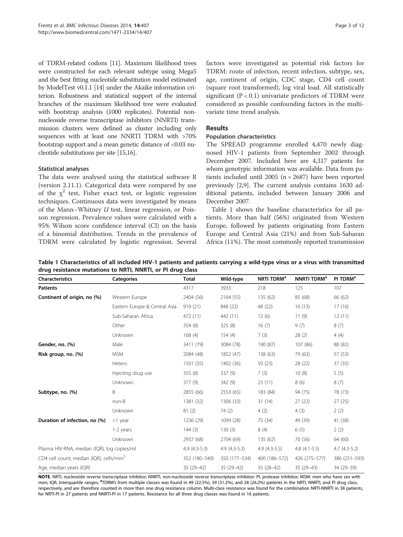of TDRM-related codons [11]. Maximum likelihood trees were constructed for each relevant subtype using Mega5 and the best fitting nucleotide substitution model estimated by ModelTest v0.1.1 [14] under the Akaike information criterion. Robustness and statistical support of the internal branches of the maximum likelihood tree were evaluated with bootstrap analysis (1000 replicates). Potential nonnucleoside reverse transcriptase inhibitors (NNRTI) transmission clusters were defined as cluster including only sequences with at least one NNRTI TDRM with >70% bootstrap support and a mean genetic distance of <0.03 nucleotide substitutions per site [15,16].

# Statistical analyses

The data were analysed using the statistical software R (version 2.11.1). Categorical data were compared by use of the  $\chi^2$  test, Fisher exact test, or logistic regression techniques. Continuous data were investigated by means of the Mann–Whitney  $U$  test, linear regression, or Poisson regression. Prevalence values were calculated with a 95% Wilson score confidence interval (CI) on the basis of a binomial distribution. Trends in the prevalence of TDRM were calculated by logistic regression. Several factors were investigated as potential risk factors for TDRM: route of infection, recent infection, subtype, sex, age, continent of origin, CDC stage, CD4 cell count (square root transformed), log viral load. All statistically significant ( $P < 0.1$ ) univariate predictors of TDRM were considered as possible confounding factors in the multivariate time trend analysis.

# Results

# Population characteristics

The SPREAD programme enrolled 4,470 newly diagnosed HIV-1 patients from September 2002 through December 2007. Included here are 4,317 patients for whom genotypic information was available. Data from patients included until 2005 (n = 2687) have been reported previously [2,9]. The current analysis contains 1630 additional patients, included between January 2006 and December 2007.

Table 1 shows the baseline characteristics for all patients. More than half (56%) originated from Western Europe, followed by patients originating from Eastern Europe and Central Asia (21%) and from Sub-Saharan Africa (11%). The most commonly reported transmission

| <b>Characteristics</b>                              | <b>Categories</b>             | <b>Total</b>   | Wild-type      | NRTI TDRM <sup>a</sup> | NNRTI TDRM <sup>a</sup> | PI TDRM <sup>a</sup> |
|-----------------------------------------------------|-------------------------------|----------------|----------------|------------------------|-------------------------|----------------------|
| <b>Patients</b>                                     |                               | 4317           | 3933           | 218                    | 125                     | 107                  |
| Continent of origin, no (%)                         | Western Europe                | 2404 (56)      | 2164 (55)      | 135 (62)               | 85 (68)                 | 66 (62)              |
|                                                     | Eastern Europe & Central Asia | 919(21)        | 848 (22)       | 48 (22)                | 16(13)                  | 17(16)               |
|                                                     | Sub-Saharan Africa            | 472 (11)       | 442 (11)       | 12(6)                  | 11(9)                   | 12(11)               |
|                                                     | Other                         | 354(8)         | 325(8)         | 16(7)                  | 9(7)                    | 8(7)                 |
|                                                     | Unknown                       | 168(4)         | 154(4)         | 7(3)                   | 28(2)                   | 4(4)                 |
| Gender, no. (%)                                     | Male                          | 3411 (79)      | 3084 (78)      | 190 (87)               | 107 (86)                | 88 (82)              |
| Risk group, no. (%)                                 | <b>MSM</b>                    | 2084 (48)      | 1852 (47)      | 138 (63)               | 79 (63)                 | 57 (53)              |
|                                                     | Hetero                        | 1501 (35)      | 1402 (36)      | 50(23)                 | 28 (22)                 | 37 (35)              |
|                                                     | Injecting drug use            | 355(8)         | 337(9)         | 7(3)                   | 10(8)                   | 5(5)                 |
|                                                     | Unknown                       | 377(9)         | 342 (9)        | 23(11)                 | 8(6)                    | 8(7)                 |
| Subtype, no. (%)                                    | B                             | 2855 (66)      | 2553 (65)      | 183 (84)               | 94 (75)                 | 78 (73)              |
|                                                     | non-B                         | 1381 (32)      | 1306 (33)      | 31(14)                 | 27(22)                  | 27(25)               |
|                                                     | Unknown                       | 81(2)          | 74 (2)         | 4(2)                   | 4(3)                    | 2(2)                 |
| Duration of infection, no (%)                       | $<$ 1 year                    | 1236 (29)      | 1099 (28)      | 75 (34)                | 49 (39)                 | 41 (38)              |
|                                                     | 1-2 years                     | 144(3)         | 130(3)         | 8(4)                   | 6(5)                    | 2(2)                 |
|                                                     | Unknown                       | 2937 (68)      | 2704 (69)      | 135 (62)               | 70 (56)                 | 64 (60)              |
| Plasma HIV-RNA, median (IQR), log copies/ml         |                               | $4.9(4.3-5.3)$ | $4.9(4.3-5.3)$ | $4.9(4.3-5.5)$         | $4.8(4.1-5.5)$          | $4.7(4.3-5.2)$       |
| CD4 cell count, median (IQR), cells/mm <sup>3</sup> |                               | 352 (180-540)  | 350 (177-534)  | 400 (186-572)          | 426 (275 - 577)         | 386 (251-593)        |
| Age, median years (IQR)                             |                               | 35 (29-42)     | 35 (29-42)     | $35(28-42)$            | 35 (29-43)              | 34 (29-39)           |

Table 1 Characteristics of all included HIV-1 patients and patients carrying a wild-type virus or a virus with transmitted drug resistance mutations to NRTI, NNRTI, or PI drug class

NOTE. NRTI, nucleoside reverse transcriptase inhibitor; NNRTI, non-nucleoside reverse transcriptase inhibitor; PI, protease inhibitor; MSM: men who have sex with men; IQR, interquartile ranges; <sup>a</sup>TDRM's from multiple classes was found in 49 (22.5%), 39 (31.2%), and 28 (26.2%) patients in the NRTI, NNRTI, and PI drug class, respectively, and are therefore counted in more than one drug resistance column. Multi-class resistance was found for the combination NRTI-NNRTI in 38 patients, for NRTI-PI in 27 patients and NNRTI-PI in 17 patients. Resistance for all three drug classes was found in 16 patients.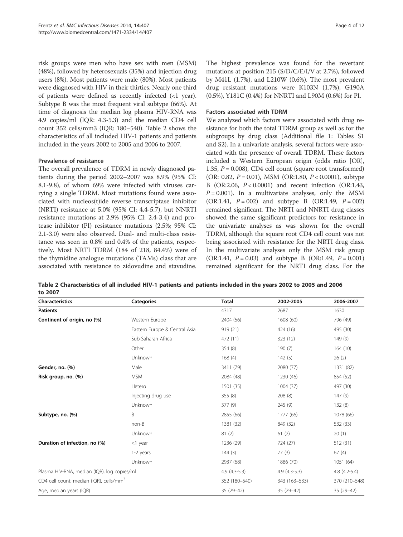risk groups were men who have sex with men (MSM) (48%), followed by heterosexuals (35%) and injection drug users (8%). Most patients were male (80%). Most patients were diagnosed with HIV in their thirties. Nearly one third of patients were defined as recently infected (<1 year). Subtype B was the most frequent viral subtype (66%). At time of diagnosis the median log plasma HIV-RNA was 4.9 copies/ml (IQR: 4.3-5.3) and the median CD4 cell count 352 cells/mm3 (IQR: 180–540). Table 2 shows the characteristics of all included HIV-1 patients and patients included in the years 2002 to 2005 and 2006 to 2007.

## Prevalence of resistance

The overall prevalence of TDRM in newly diagnosed patients during the period 2002–2007 was 8.9% (95% CI: 8.1-9.8), of whom 69% were infected with viruses carrying a single TDRM. Most mutations found were associated with nucleos(t)ide reverse transcriptase inhibitor (NRTI) resistance at 5.0% (95% CI: 4.4-5.7), but NNRTI resistance mutations at 2.9% (95% CI: 2.4-3.4) and protease inhibitor (PI) resistance mutations (2.5%; 95% CI: 2.1-3.0) were also observed. Dual- and multi-class resistance was seen in 0.8% and 0.4% of the patients, respectively. Most NRTI TDRM (184 of 218, 84.4%) were of the thymidine analogue mutations (TAMs) class that are associated with resistance to zidovudine and stavudine. The highest prevalence was found for the revertant mutations at position 215 (S/D/C/E/I/V at 2.7%), followed by M41L (1.7%), and L210W (0.6%). The most prevalent drug resistant mutations were K103N (1.7%), G190A (0.5%), Y181C (0.4%) for NNRTI and L90M (0.6%) for PI.

## Factors associated with TDRM

We analyzed which factors were associated with drug resistance for both the total TDRM group as well as for the subgroups by drug class (Additional file 1: Tables S1 and S2). In a univariate analysis, several factors were associated with the presence of overall TDRM. These factors included a Western European origin (odds ratio [OR], 1.35,  $P = 0.008$ ), CD4 cell count (square root transformed) (OR: 0.82,  $P = 0.01$ ), MSM (OR:1.80,  $P < 0.0001$ ), subtype B (OR:2.06, P < 0.0001) and recent infection (OR:1.43,  $P = 0.001$ ). In a multivariate analyses, only the MSM (OR:1.41,  $P = 002$ ) and subtype B (OR:1.49,  $P = 002$ ) remained significant. The NRTI and NNRTI drug classes showed the same significant predictors for resistance in the univariate analyses as was shown for the overall TDRM, although the square root CD4 cell count was not being associated with resistance for the NRTI drug class. In the multivariate analyses only the MSM risk group (OR:1.41,  $P = 0.03$ ) and subtype B (OR:1.49,  $P = 0.001$ ) remained significant for the NRTI drug class. For the

Table 2 Characteristics of all included HIV-1 patients and patients included in the years 2002 to 2005 and 2006 to 2007

| <b>Characteristics</b>                              | <b>Categories</b>             | <b>Total</b>   | 2002-2005      | 2006-2007      |
|-----------------------------------------------------|-------------------------------|----------------|----------------|----------------|
| <b>Patients</b>                                     |                               | 4317           | 2687           | 1630           |
| Continent of origin, no (%)                         | Western Europe                | 2404 (56)      | 1608 (60)      | 796 (49)       |
|                                                     | Eastern Europe & Central Asia | 919 (21)       | 424 (16)       | 495 (30)       |
|                                                     | Sub-Saharan Africa            | 472 (11)       | 323 (12)       | 149(9)         |
|                                                     | Other                         | 354 (8)        | 190(7)         | 164(10)        |
|                                                     | Unknown                       | 168(4)         | 142(5)         | 26(2)          |
| Gender, no. (%)                                     | Male                          | 3411 (79)      | 2080 (77)      | 1331 (82)      |
| Risk group, no. (%)                                 | <b>MSM</b>                    | 2084 (48)      | 1230 (46)      | 854 (52)       |
|                                                     | Hetero                        | 1501 (35)      | 1004 (37)      | 497 (30)       |
|                                                     | Injecting drug use            | 355 (8)        | 208 (8)        | 147(9)         |
|                                                     | Unknown                       | 377 (9)        | 245 (9)        | 132(8)         |
| Subtype, no. (%)                                    | B                             | 2855 (66)      | 1777 (66)      | 1078 (66)      |
|                                                     | non-B                         | 1381 (32)      | 849 (32)       | 532 (33)       |
|                                                     | Unknown                       | 81(2)          | 61(2)          | 20(1)          |
| Duration of infection, no (%)                       | <1 year                       | 1236 (29)      | 724 (27)       | 512 (31)       |
|                                                     | 1-2 years                     | 144(3)         | 77(3)          | 67(4)          |
|                                                     | Unknown                       | 2937 (68)      | 1886 (70)      | 1051 (64)      |
| Plasma HIV-RNA, median (IQR), log copies/ml         |                               | $4.9(4.3-5.3)$ | $4.9(4.3-5.3)$ | $4.8(4.2-5.4)$ |
| CD4 cell count, median (IQR), cells/mm <sup>3</sup> |                               | 352 (180-540)  | 343 (163-533)  | 370 (210-548)  |
| Age, median years (IQR)                             |                               | 35 (29-42)     | 35 (29-42)     | 35 (29-42)     |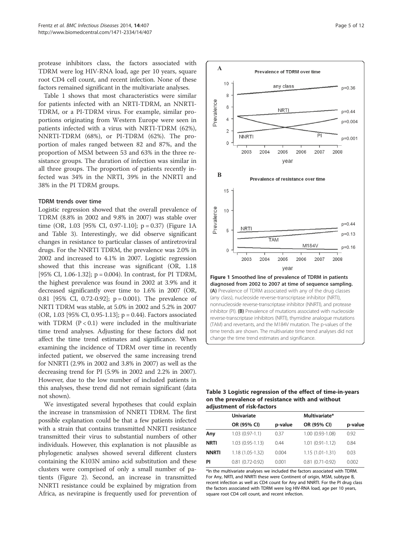protease inhibitors class, the factors associated with TDRM were log HIV-RNA load, age per 10 years, square root CD4 cell count, and recent infection. None of these factors remained significant in the multivariate analyses.

Table 1 shows that most characteristics were similar for patients infected with an NRTI-TDRM, an NNRTI-TDRM, or a PI-TDRM virus. For example, similar proportions originating from Western Europe were seen in patients infected with a virus with NRTI-TDRM (62%), NNRTI-TDRM (68%), or PI-TDRM (62%). The proportion of males ranged between 82 and 87%, and the proportion of MSM between 53 and 63% in the three resistance groups. The duration of infection was similar in all three groups. The proportion of patients recently infected was 34% in the NRTI, 39% in the NNRTI and 38% in the PI TDRM groups.

#### TDRM trends over time

Logistic regression showed that the overall prevalence of TDRM (8.8% in 2002 and 9.8% in 2007) was stable over time (OR, 1.03 [95% CI, 0.97-1.10];  $p = 0.37$ ) (Figure 1A) and Table 3). Interestingly, we did observe significant changes in resistance to particular classes of antiretroviral drugs. For the NNRTI TDRM, the prevalence was 2.0% in 2002 and increased to 4.1% in 2007. Logistic regression showed that this increase was significant (OR, 1.18 [95% CI, 1.06-1.32]; p = 0.004). In contrast, for PI TDRM, the highest prevalence was found in 2002 at 3.9% and it decreased significantly over time to 1.6% in 2007 (OR, 0.81 [95% CI, 0.72-0.92];  $p = 0.001$ ). The prevalence of NRTI TDRM was stable, at 5.0% in 2002 and 5.2% in 2007 (OR, 1.03 [95% CI, 0.95-1.13]; p = 0.44). Factors associated with TDRM  $(P < 0.1)$  were included in the multivariate time trend analyses. Adjusting for these factors did not affect the time trend estimates and significance. When examining the incidence of TDRM over time in recently infected patient, we observed the same increasing trend for NNRTI (2.9% in 2002 and 3.8% in 2007) as well as the decreasing trend for PI (5.9% in 2002 and 2.2% in 2007). However, due to the low number of included patients in this analyses, these trend did not remain significant (data not shown).

We investigated several hypotheses that could explain the increase in transmission of NNRTI TDRM. The first possible explanation could be that a few patients infected with a strain that contains transmitted NNRTI resistance transmitted their virus to substantial numbers of other individuals. However, this explanation is not plausible as phylogenetic analyses showed several different clusters containing the K103N amino acid substitution and these clusters were comprised of only a small number of patients (Figure 2). Second, an increase in transmitted NNRTI resistance could be explained by migration from Africa, as nevirapine is frequently used for prevention of



Table 3 Logistic regression of the effect of time-in-years on the prevalence of resistance with and without adjustment of risk-factors

|              | <b>Univariate</b>   |         | Multivariate*       |         |  |
|--------------|---------------------|---------|---------------------|---------|--|
|              | OR (95% CI)         | p-value | OR (95% CI)         | p-value |  |
| Any          | $1.03(0.97-1.1)$    | 0.37    | 1.00 (0.93-1.08)    | 0.92    |  |
| <b>NRTI</b>  | $1.03(0.95 - 1.13)$ | 0.44    | $1.01(0.91 - 1.12)$ | 0.84    |  |
| <b>NNRTI</b> | $1.18(1.05-1.32)$   | 0.004   | $1.15(1.01-1.31)$   | 0.03    |  |
| PI           | $0.81(0.72-0.92)$   | 0.001   | $0.81(0.71-0.92)$   | 0.002   |  |

\*In the multivariate analyses we included the factors associated with TDRM. For Any, NRTI, and NNRTI these were Continent of origin, MSM, subtype B, recent infection as well as CD4 count for Any and NNRTI. For the PI drug class the factors associated with TDRM were log HIV-RNA load, age per 10 years, square root CD4 cell count, and recent infection.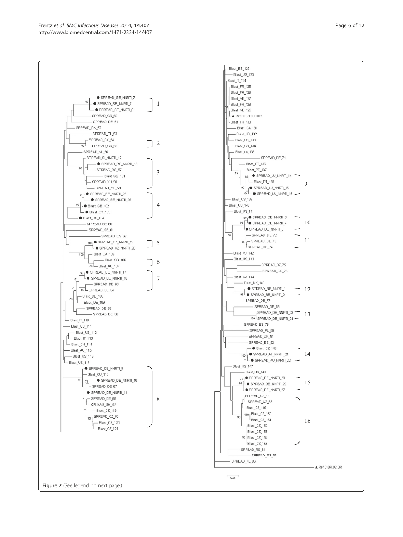– ● SPREAD\_SE\_NNRTI\_7

SPREAD\_SE\_NNRTI\_7

SPREAD SE NNRTI 6

- SPREAD GR 50

-SPREAD\_DE\_51

- SPREAD\_PL\_53

SPREAD\_SI\_NNRTI\_12

81 r<sup>●</sup> SPREAD\_BE\_NNRTI\_25

■ Blast\_GB\_102

- ● Blast\_CY\_103

- SPREAD\_SE\_61

- Blast\_CA\_105

93 |● SPREAD\_DE\_NNRTI\_17  $\tau$  SPREAD\_DE\_NNRTI\_18

- SPREAD\_DE\_63

 $\color{blue}{\bullet} \; \mathsf{SPREAD\_DE\_NNRTI\_9}$ 

SPREAD\_DE\_NNRTI\_11

SPREAD\_DE\_NNRTI\_10

- Blast\_CU\_118

72 SPREAD\_DE\_67

-SPREAD\_DE\_68

- Blast\_CZ\_119

SPREAD\_CZ\_70

Blast\_CZ\_121

- Blast\_CZ\_120

 $L$  SPREAD\_DE\_69

96 SPREAD\_DE\_64

- SPREAD\_DE\_65 - SPREAD\_DE\_66

Blast\_DE\_108

- Blast\_DE\_109

 $\bullet$  Blast\_US\_104 SPREAD\_BE\_60

100

76

Blast\_IT\_110

- Blast\_US\_111

 $L_{\text{Blast_CH}_1114}$ 

- Blast\_AU\_115

- Blast\_US\_116  $L_{\text{Blast\_US\_117}}$ 

- Blast\_US\_112  $\left[\begin{array}{ccc} \begin{array}{ccc} \end{array} & \begin{array}{ccc} \end{array} & \begin{array}{ccc} \end{array} & \begin{array}{ccc} \end{array} & \begin{array}{ccc} \end{array} & \begin{array}{ccc} \end{array} & \begin{array}{ccc} \end{array} & \begin{array}{ccc} \end{array} & \begin{array}{ccc} \end{array} & \begin{array}{ccc} \end{array} & \begin{array}{ccc} \end{array} & \begin{array}{ccc} \end{array} & \begin{array}{ccc} \end{array} & \begin{array}{ccc} \end{array} & \begin{array}{ccc} \end{array} & \begin{array}{ccc} \end{array} & \begin{$ 

SPREAD\_BE\_NNRTI\_26

SPREAD\_ES\_62 98 | SPREAD\_CZ\_NNRTI\_19

 $\mathcal{L}_{\bullet}$  spread\_cz\_nnrti\_20

- Blast\_SG\_106  $\frac{1}{76}$  Blast\_AU\_107

-SPREAD\_RS\_57

 $-$  SPREAD\_RS\_NNRTI\_13

 $-$  Blast CS 101 - SPREAD YU 58 - SPREAD\_YU\_59

SPREAD\_CY\_54

SPREAD\_NL\_56

SPREAD DK 52

1

 $\bigcap$  2

3

4

5

6

7

8



16

A Ref.C.BR.92.BR

 $\dagger$ Blast\_CZ\_151

Blast\_CZ\_152

Blast\_CZ\_153 93 Blast\_CZ\_154 Blast\_CZ\_155 SPREAD\_RS\_84 -SPREAD\_ES\_85

SPREAD\_NL\_86

 $\overline{0.02}$ 



Figure 2 (See legend on next page.)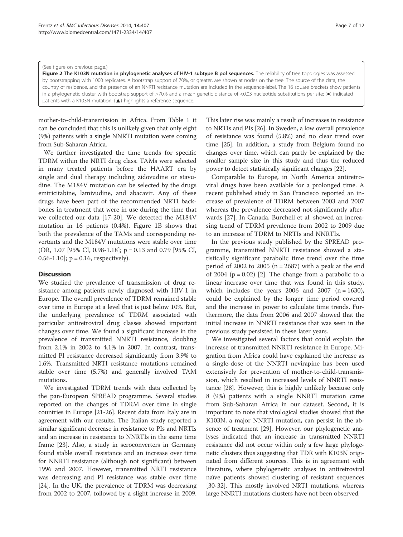#### (See figure on previous page.)

Figure 2 The K103N mutation in phylogenetic analyses of HIV-1 subtype B pol sequences. The reliability of tree topologies was assessed by bootstrapping with 1000 replicates. A bootstrap support of 70%, or greater, are shown at nodes on the tree. The source of the data, the country of residence, and the presence of an NNRTI resistance mutation are included in the sequence-label. The 16 square brackets show patients in a phylogenetic cluster with bootstrap support of >70% and a mean genetic distance of <0.03 nucleotide substitutions per site; (.) indicated patients with a K103N mutation; (▲) highlights a reference sequence.

mother-to-child-transmission in Africa. From Table 1 it can be concluded that this is unlikely given that only eight (9%) patients with a single NNRTI mutation were coming from Sub-Saharan Africa.

We further investigated the time trends for specific TDRM within the NRTI drug class. TAMs were selected in many treated patients before the HAART era by single and dual therapy including zidovudine or stavudine. The M184V mutation can be selected by the drugs emtricitabine, lamivudine, and abacavir. Any of these drugs have been part of the recommended NRTI backbones in treatment that were in use during the time that we collected our data [17-20]. We detected the M184V mutation in 16 patients (0.4%). Figure 1B shows that both the prevalence of the TAMs and corresponding revertants and the M184V mutations were stable over time (OR, 1.07 [95% CI, 0.98-1.18]; p = 0.13 and 0.79 [95% CI, 0.56-1.10];  $p = 0.16$ , respectively).

#### **Discussion**

We studied the prevalence of transmission of drug resistance among patients newly diagnosed with HIV-1 in Europe. The overall prevalence of TDRM remained stable over time in Europe at a level that is just below 10%. But, the underlying prevalence of TDRM associated with particular antiretroviral drug classes showed important changes over time. We found a significant increase in the prevalence of transmitted NNRTI resistance, doubling from 2.1% in 2002 to 4.1% in 2007. In contrast, transmitted PI resistance decreased significantly from 3.9% to 1.6%. Transmitted NRTI resistance mutations remained stable over time (5.7%) and generally involved TAM mutations.

We investigated TDRM trends with data collected by the pan-European SPREAD programme. Several studies reported on the changes of TDRM over time in single countries in Europe [21-26]. Recent data from Italy are in agreement with our results. The Italian study reported a similar significant decrease in resistance to PIs and NRTIs and an increase in resistance to NNRTIs in the same time frame [23]. Also, a study in seroconverters in Germany found stable overall resistance and an increase over time for NNRTI resistance (although not significant) between 1996 and 2007. However, transmitted NRTI resistance was decreasing and PI resistance was stable over time [24]. In the UK, the prevalence of TDRM was decreasing from 2002 to 2007, followed by a slight increase in 2009. This later rise was mainly a result of increases in resistance to NRTIs and PIs [26]. In Sweden, a low overall prevalence of resistance was found (5.8%) and no clear trend over time [25]. In addition, a study from Belgium found no changes over time, which can partly be explained by the smaller sample size in this study and thus the reduced power to detect statistically significant changes [22].

Comparable to Europe, in North America antiretroviral drugs have been available for a prolonged time. A recent published study in San Francisco reported an increase of prevalence of TDRM between 2003 and 2007 whereas the prevalence decreased not-significantly afterwards [27]. In Canada, Burchell et al. showed an increasing trend of TDRM prevalence from 2002 to 2009 due to an increase of TDRM to NRTIs and NNRTIs.

In the previous study published by the SPREAD programme, transmitted NNRTI resistance showed a statistically significant parabolic time trend over the time period of 2002 to 2005 ( $n = 2687$ ) with a peak at the end of 2004 ( $p = 0.02$ ) [2]. The change from a parabolic to a linear increase over time that was found in this study, which includes the years 2006 and 2007  $(n = 1630)$ , could be explained by the longer time period covered and the increase in power to calculate time trends. Furthermore, the data from 2006 and 2007 showed that the initial increase in NNRTI resistance that was seen in the previous study persisted in these later years.

We investigated several factors that could explain the increase of transmitted NNRTI resistance in Europe. Migration from Africa could have explained the increase as a single-dose of the NNRTI nevirapine has been used extensively for prevention of mother-to-child-transmission, which resulted in increased levels of NNRTI resistance [28]. However, this is highly unlikely because only 8 (9%) patients with a single NNRTI mutation came from Sub-Saharan Africa in our dataset. Second, it is important to note that virological studies showed that the K103N, a major NNRTI mutation, can persist in the absence of treatment [29]. However, our phylogenetic analyses indicated that an increase in transmitted NNRTI resistance did not occur within only a few large phylogenetic clusters thus suggesting that TDR with K103N originated from different sources. This is in agreement with literature, where phylogenetic analyses in antiretroviral naïve patients showed clustering of resistant sequences [30-32]. This mostly involved NRTI mutations, whereas large NNRTI mutations clusters have not been observed.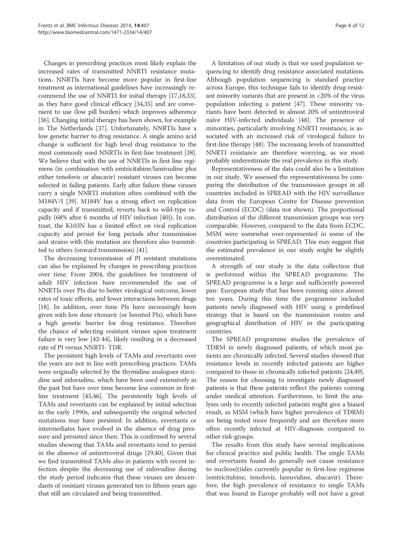Changes in prescribing practices most likely explain the increased rates of transmitted NNRTI resistance mutations. NNRTIs have become more popular in first-line treatment as international guidelines have increasingly recommend the use of NNRTI for initial therapy [17,18,33]. as they have good clinical efficacy [34,35] and are convenient to use (low pill burden) which improves adherence [36]. Changing initial therapy has been shown, for example in The Netherlands [37]. Unfortunately, NNRTIs have a low genetic barrier to drug resistance. A single amino acid change is sufficient for high level drug resistance to the most commonly used NNRTIs in first-line treatment [38]. We believe that with the use of NNRTIs in first line regimens (in combination with emtricitabine/lamivudine plus either tenofovir or abacavir) resistant viruses can become selected in failing patients. Early after failure these viruses carry a single NNRTI mutation often combined with the M184V/I [39]. M184V has a strong effect on replication capacity and if transmitted, reverts back to wild-type rapidly (68% after 6 months of HIV infection [40]). In contrast, the K103N has a limited effect on viral replication capacity and persist for long periods after transmission and strains with this mutation are therefore also transmitted to others (onward transmission) [41].

The decreasing transmission of PI resistant mutations can also be explained by changes in prescribing practices over time. From 2004, the guidelines for treatment of adult HIV infection have recommended the use of NNRTIs over PIs due to better virological outcome, lower rates of toxic effects, and fewer interactions between drugs [18]. In addition, over time PIs have increasingly been given with low dose ritonavir (or boosted PIs), which have a high genetic barrier for drug resistance. Therefore the chance of selecting resistant viruses upon treatment failure is very low [42-44], likely resulting in a decreased rate of PI versus NNRTI- TDR.

The persistent high levels of TAMs and revertants over the years are not in line with prescribing practices. TAMs were originally selected by the thymidine analogues stavudine and zidovudine, which have been used extensively in the past but have over time become less common in firstline treatment [45,46]. The persistently high levels of TAMs and revertants can be explained by initial selection in the early 1990s, and subsequently the original selected mutations may have persisted. In addition, revertants or intermediates have evolved in the absence of drug pressure and persisted since then. This is confirmed by several studies showing that TAMs and revertants tend to persist in the absence of antiretroviral drugs [29,40]. Given that we find transmitted TAMs also in patients with recent infection despite the decreasing use of zidovudine during the study period indicates that these viruses are descendants of resistant viruses generated ten to fifteen years ago that still are circulated and being transmitted.

A limitation of our study is that we used population sequencing to identify drug resistance associated mutations. Although population sequencing is standard practice across Europe, this technique fails to identify drug-resistant minority variants that are present in  $<20\%$  of the virus population infecting a patient [47]. These minority variants have been detected in almost 20% of antiretroviral naïve HIV-infected individuals [48]. The presence of minorities, particularly involving NNRTI resistance, is associated with an increased risk of virological failure to first-line therapy [48]. The increasing levels of transmitted NNRTI resistance are therefore worrying, as we most probably underestimate the real prevalence in this study.

Representativeness of the data could also be a limitation in our study. We assessed the representativeness by comparing the distribution of the transmission groups in all countries included in SPREAD with the HIV surveillance data from the European Centre for Disease prevention and Control (ECDC) (data not shown). The proportional distribution of the different transmission groups was very comparable. However, compared to the data from ECDC, MSM were somewhat over-represented in some of the countries participating in SPREAD. This may suggest that the estimated prevalence in our study might be slightly overestimated.

A strength of our study is the data collection that is performed within the SPREAD programme. The SPREAD programme is a large and sufficiently powered pan- European study that has been running since almost ten years. During this time the programme included patients newly diagnosed with HIV using a predefined strategy that is based on the transmission routes and geographical distribution of HIV in the participating countries.

The SPREAD programme studies the prevalence of TDRM in newly diagnosed patients, of which most patients are chronically infected. Several studies showed that resistance levels in recently infected patients are higher compared to those in chronically infected patients [24,49]. The reason for choosing to investigate newly diagnosed patients is that these patients reflect the patients coming under medical attention. Furthermore, to limit the analyses only to recently infected patients might give a biased result, as MSM (which have higher prevalence of TDRM) are being tested more frequently and are therefore more often recently infected at HIV-diagnosis compared to other risk-groups.

The results from this study have several implications for clinical practice and public health. The single TAMs and revertants found do generally not cause resistance to nucleos(t)ides currently popular in first-line regimens (emtricitabine, tenofovir, lamuvidine, abacavir). Therefore, the high prevalence of resistance to single TAMs that was found in Europe probably will not have a great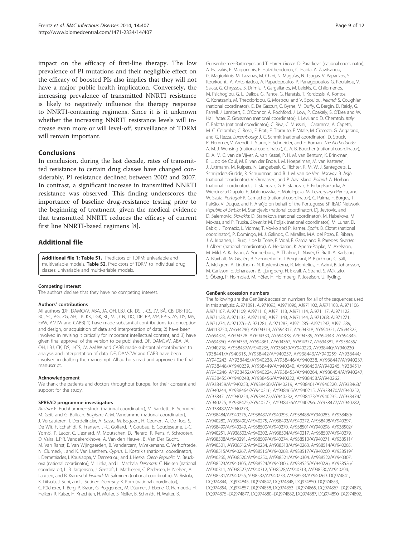impact on the efficacy of first-line therapy. The low prevalence of PI mutations and their negligible effect on the efficacy of boosted PIs also implies that they will not have a major public health implication. Conversely, the increasing prevalence of transmitted NNRTI resistance is likely to negatively influence the therapy response to NNRTI-containing regimens. Since it is it unknown whether the increasing NNRTI resistance levels will increase even more or will level-off, surveillance of TDRM will remain important.

# Conclusions

In conclusion, during the last decade, rates of transmitted resistance to certain drug classes have changed considerably. PI resistance declined between 2002 and 2007. In contrast, a significant increase in transmitted NNRTI resistance was observed. This finding underscores the importance of baseline drug-resistance testing prior to the beginning of treatment, given the medical evidence that transmitted NNRTI reduces the efficacy of current first line NNRTI-based regimens [8].

## Additional file

Additional file 1: Table S1. Predictors of TDRM: univariable and multivariable models. Table S2. Predictors of TDRM to individual drug classes: univariable and multivariable models.

#### Competing interest

The authors declare that they have no competing interest.

#### Authors' contributions

All authors (DF, DAMCVV, ABA, JA, OH, LBJ, CK, DS, J-CS, JV, BÅ, CB, DB; RJC, BC, SC, AG, ZG, AH, TK, KK, LGK, KL, ML, CN, DO, DP, RP, MP, EP-S, AS, DS, MS, EVW, AMJW and CABB) 1) have made substantial contributions to conception and design, or acquisition of data and interpretation of data; 2) have been involved in revising it critically for important intellectual content; and 3) have given final approval of the version to be published. DF, DAMCVV, ABA, JA, OH, LBJ, CK, DS, J-CS, JV, AMJW and CABB made substantial contribution to analysis and interpretation of data. DF, DAMCVV and CABB have been involved in drafting the manuscript. All authors read and approved the final manuscript.

#### Acknowledgement

We thank the patients and doctors throughout Europe, for their consent and support for the study.

#### SPREAD programme investigators

Austria: E. Puchhammer-Stockl (national coordinator), M. Sarcletti, B. Schmied, M. Geit, and G. Balluch. Belgium: A.-M. Vandamme (national coordinator), J. Vercauteren, I. Derdelinckx, A. Sasse, M. Bogaert, H. Ceunen, A. De Roo, S. De Wit, F. Echahidi, K. Fransen, J.-C. Goffard, P. Goubau, E. Goudeseune, J.-C. Yombi, P. Lacor, C. Liesnard, M. Moutschen, D. Pierard, R. Rens, Y. Schrooten, D. Vaira, L.P.R. Vandekerckhove, A. Van den Heuvel, B. Van Der Gucht, M. Van Ranst, E. Van Wijngaerden, B. Vandercam, M.Vekemans, C. Verhofstede, N. Clumeck, , and K. Van Laethem. Cyprus: L. Kostrikis (national coordinator), I. Demetriades, I. Kousiappa, V. Demetriou, and J. Hezka. Czech Republic: M. Bruckova (national coordinator), M. Linka, and L. Machala. Denmark: C. Nielsen (national coordinator), L. B. Jørgensen, J. Gerstoft, L. Mathiesen, C. Pedersen, H. Nielsen, A. Laursen, and B. Kvinesdal. Finland: M. Salminen (national coordinator), M. Ristola, K. Liitsola, J. Suni, and J. Sutinen. Germany: K. Korn (national coordinator), C. Kücherer, T. Berg, P. Braun, G. Poggensee, M. Däumer, J. Eberle, O. Hamouda, H. Heiken, R. Kaiser, H. Knechten, H. Müller, S. Neifer, B. Schmidt, H. Walter, B.

Gunsenheimer-Bartmeyer, and T. Harrer. Greece: D. Paraskevis (national coordinator), A. Hatzakis, E. Magiorkinis, E. Hatzitheodorou, C. Haida, A. Zavitsanou, G. Magiorkinis, M. Lazanas, M. Chini, N. Magafas, N. Tsogas, V. Paparizos, S. Kourkounti, A. Antoniadou, A. Papadopoulos, P. Panagopoulos, G. Poulakou, V. Sakka, G. Chryssos, S. Drimis, P. Gargalianos, M. Lelekis, G. Chilomenos, M. Psichogiou, G. L. Daikos, G. Panos, G. Haratsis, T. Kordossis, A. Kontos, G. Koratzanis, M. Theodoridou, G. Mostrou, and V. Spoulou. Ireland: S. Coughlan (national coordinator), C. De Gascun, C. Byrne, M. Duffy, C. Bergin, D. Reidy, G. Farrell, J. Lambert, E. O'Connor, A. Rochford, J. Low, P. Coakely, S. O'Dea and W. Hall. Israel: Z. Grossman (national coordinator), I. Levi, and D. Chemtob. Italy: C. Balotta (national coordinator), C. Riva, C. Mussini, I. Caramma, A. Capetti, M. C. Colombo, C. Rossi, F. Prati, F. Tramuto, F. Vitale, M. Ciccozzi, G. Angarano, and G. Rezza. Luxembourg: J. C. Schmit (national coordinator), D. Struck, R. Hemmer, V. Arendt, T. Staub, F. Schneider, and F. Roman. The Netherlands: A. M. J. Wensing (national coordinator), C. A. B. Boucher (national coordinator), D. A. M. C. van de Vijver, A. van Kessel, P. H. M. van Bentum, K. Brinkman, E. L. op de Coul, M. E. van der Ende, I. M. Hoepelman, M. van Kasteren, J. Juttmann, M. Kuipers, N. Langebeek, C. Richter, R. M. W. J. Santegoets, L. Schrijnders-Gudde, R. Schuurman, and B. J. M. van de Ven. Norway: B. Åsjö (national coordinator), V. Ormaasen, and P. Aavitsland. Poland: A. Horban (national coordinator), J. J. Stanczak, G. P. Stanczak, E. Firlag-Burkacka, A. Wiercinska-Drapalo, E. Jablonowska, E. Małolepsza, M. Leszczyszyn-Pynka, and W. Szata. Portugal: R. Camacho (national coordinator), C. Palma, F. Borges, T. Paixão, V. Duque, and F. Araújo on behalf of the Portuguese SPREAD Network. Republic of Serbia: M. Stanojevic (national coordinator), Dj. Jevtovic, and D. Salemovic. Slovakia: D. Stanekova (national coordinator), M. Habekova, M. Mokras, and P. Truska. Slovenia: M. Poljak (national coordinator), M. Lunar, D. Babic, J. Tomazic, L. Vidmar, T. Vovko and P. Karner. Spain: B. Clotet (national coordinator), P. Domingo, M. J. Galindo, C. Miralles, M.A. del Pozo, E. Ribera, J. A. Iribarren, L. Ruiz, J. de la Torre, F. Vidal, F. Garcia and R. Paredes. Sweden: J. Albert (national coordinator), A. Heidarian, K. Aperia-Peipke, M. Axelsson, M. Mild, A. Karlsson, A. Sönnerborg, A. Thalme, L. Navér, G. Bratt, A. Karlsson, A. Blaxhult, M. Gisslén, B. Svennerholm, I. Bergbrant, P. Björkman, C. Säll, Å. Mellgren, A. Lindholm, N. Kuylenstierna, R. Montelius, F. Azimi, B. Johansson, M. Carlsson, E. Johansson, B. Ljungberg, H. Ekvall, A. Strand, S. Mäkitalo, S. Öberg, P. Holmblad, M. Höfer, H. Holmberg, P. Josefson, U. Ryding.

#### GenBank accession numbers

The following are the GenBank accession numbers for all of the sequences used in this analysis: AJ971091, AJ971093, AJ971096, AJ971102, AJ971103, AJ971106, AJ971107, AJ971109, AJ971110, AJ971113, AJ971114, AJ971117, AJ971122, AJ971128, AJ971133, AJ971140, AJ971143, AJ971144, AJ971268, AJ971271, AJ971274, AJ971276–AJ971281, AJ971283, AJ971285–AJ971287, AJ971289, AM113750, AY694290, AY694313, AY694317, AY694318, AY694321, AY694322, AY694324, AY694328–AY694330, AY694338, AY694339, AY694343–AY694345, AY694350, AY694353, AY694361, AY694362, AY694377, AY694382, AY938435/ AY940218, AY938437/AY940236, AY938439/AY940229, AY938440/AY940230, Y938441/AY940315, AY938442/AY940257, AY938443/AY940259, AY938444/ AY940243, AY938445/AY940238, AY938446/AY940238, AY938447/AY940237, AY938448/AY940239, AY938449/AY940240, AY938450/AY940245, Y938451/ AY940246, AY938452/AY940224, AY938453/AY940264, AY938454/AY940247, AY938455/AY940248, AY938456/AY940222, AY938458/AY940262, AY938459/AY940253, AY938460/AY940219, AY938461/AY940220, AY938463/ AY940244, AY938464/AY940216, AY938465/AY940215, AY938470/AY940252, AY938471/AY940254, AY938472/AY940232, AY938473/AY940235, AY938474/ AY940225, AY938475/AY940277, AY938476/AY940296, AY938477/AY940282, AY938482/AY940273,

AY938484/AY940276, AY938487/AY940293, AY938488/AY940283, AY938489/ AY940280, AY938490/AY940275, AY938492/AY940272, AY938498/AY940297, AY938499/AY940249, AY938500/AY940270, AY938501/AY940298, AY938502/ AY940251, AY938503/AY940302, AY938504/AY940217, AY938507/AY940279, AY938508/AY940291, AY938509/AY940274, AY938510/AY940271, AY938511/ AY940301, AY938512/AY940234, AY938513/AY940263, AY938514/AY940265, AY938515/AY940267, AY938516/AY940268, AY938517/AY940260, AY938519/ AY940266, AY938520/AY940250, AY938521/AY940304, AY938522/AY940307, AY938523/AY940305, AY938524/AY940306, AY938525/AY940226, AY938526/ AY940311, AY938527/AY940312, Y938528/AY940313, AY938530/AY940294, AY938531/AY940255, Y938532/AY940233, AY938533/AY940269, DQ974841, DQ974844, DQ974845, DQ974847, DQ974848, DQ974850, DQ974853, DQ974854, DQ974857, DQ974858, DQ974863–DQ974865, DQ974867–DQ974873, DQ974875–DQ974877, DQ974880–DQ974882, DQ974887, DQ974890, DQ974892,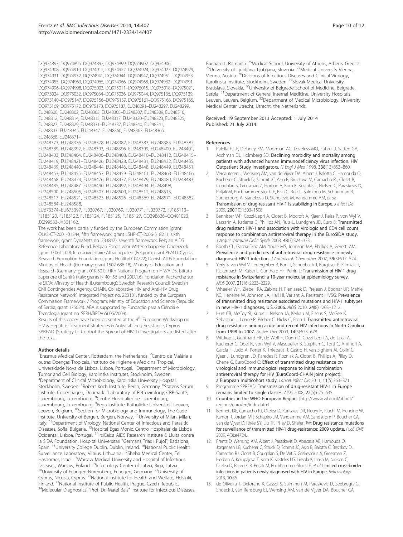DQ974893, DQ974895–DQ974897, DQ974899, DQ974902–DQ974906, DQ974908, DQ974910–DQ974912, DQ974922–DQ974924, DQ974927–DQ974929, DQ974931, DQ974932, DQ974941, DQ974944–DQ974947, DQ974951–DQ974953, DQ974955\_DQ974963, DQ974965, DQ974966, DQ974968, DQ974982–DQ974991, DQ974996–DQ974998, DQ975003, DQ975011–DQ975015, DQ975018–DQ975021, DQ975024, DQ975032, DQ975034–DQ975036, DQ975044, DQ975136, DQ975139, DQ975140–DQ975147, DQ975156–DQ975159, DQ975161–DQ975163, DQ975165, DQ975169, DQ975172, DQ975173, DQ975187, EU248291–EU248297, EU248299, EU248300, EU248302, EU248303, EU248305–EU248307, EU248309, EU248310, EU248312, EU248314, EU248315, EU248317, EU248320–EU248323, EU248325, EU248327, EU248329, EU248331–EU248337, EU248340, EU248341, EU248343–EU248345, EU248347–EU248360, EU248363–EU248365, EU248368, EU248371–

EU248373, EU248376–EU248378, EU248382, EU248383, EU248385–EU248387, EU248389, EU248392, EU248393, EU248396, EU248399, EU248400, EU248401, EU248403, EU248404, EU248406–EU248408, EU248410–EU248412, EU248415– EU248419, EU248421–EU248426, EU248428, EU248431, EU248432, EU248435, EU248439, EU248440–EU248444, EU248446, EU248448, EU248449, EU248451, EU248453, EU248455–EU248457, EU248459–EU248461, EU248463–EU248466, EU248468–EU248474, EU248476, EU248477, EU248479, EU248480, EU248483, EU248485, EU248487–EU248490, EU248492, EU248494–EU248498, EU248500–EU248505, EU248507, EU248509, EU248512, EU248515, EU248517–EU248521, EU248523, EU248526–EU248569, EU248571–EU248582,

EU248584–EU248588, EU673374–EU673397, FJ030767, FJ030769, FJ030771, FJ030772, FJ185113– FJ185120, FJ185122, FJ185124, FJ185125, FJ185127, GQ398826–GQ401023, JX299533-JX301162.

The work has been partially funded by the European Commission (grant QLK2-CT-2001-01344, fifth framework; grant LSHP-CT-2006-518211, sixth framework, grant DynaNets no. 233847), seventh framework; Belgian AIDS Reference Laboratory Fund, Belgian Fonds voor Wetenschappelijk Onderzoek (grant G.0611.09); Interuniversitaire Attractiepolen (Belgium; grant P6/41); Cyprus Research Promotion Foundation (grant Health/0104/22); Danish AIDS Foundation; Ministry of Health (Germany; grant 1502-686-18); Ministry of Education and Research (Germany; grant 01KI501); Fifth National Program on HIV/AIDS, Istituto Superiore di Sanità (Italy; grants N 40F.56 and 20D.1.6); Fondation Recherche sur le SiDA; Ministry of Health (Luxembourg); Swedish Research Council; Swedish Civil Contingencies Agency; CHAIN, Collaborative HIV and Anti-HIV Drug Resistance Network', Integrated Project no. 223131, funded by the European Commission Framework 7 Program; Ministry of Education and Science (Republic of Serbia; grant 175024). ABA is supported by Fundação para a Ciência e Tecnologia (grant no. SFRH/BPD/65605/2009).

Results of this paper have been presented at the 9<sup>th</sup> European Workshop on HIV & Hepatitis-Treatment Strategies & Antiviral Drug Resistance, Cyprus. SPREAD (Strategy to Control the Spread of HIV-1) investigators are listed after the text.

#### Author details

<sup>1</sup> Erasmus Medical Center, Rotterdam, the Netherlands. <sup>2</sup> Centro de Malária e outras Doenças Tropicais, Instituto de Higiene e Medicina Tropical, Universidade Nova de Lisboa, Lisboa, Portugal. <sup>3</sup>Department of Microbiology, Tumor and Cell Biology, Karolinska Institutet, Stockholm, Sweden. 4 Department of Clinical Microbiology, Karolinska University Hospital, Stockholm, Sweden. <sup>5</sup>Robert Koch Institute, Berlin, Germany. <sup>6</sup>Statens Serum Institute, Copenhagen, Denmark. <sup>7</sup>Laboratory of Retrovirology, CRP-Santé, Luxembourg, Luxembourg. <sup>8</sup>Centre Hospitalier de Luxembourg, Luxembourg, Luxembourg. <sup>9</sup>Rega Institute, Katholieke Universiteit Leuven, Leuven, Belgium. <sup>10</sup>Section for Microbiology and Immunology, The Gade Institute, University of Bergen, Bergen, Norway. <sup>11</sup>University of Milan, Milan, Italy. <sup>12</sup>Department of Virology, National Center of Infectious and Parasitic Diseases, Sofia, Bulgaria. <sup>13</sup>Hospital Egas Moniz, Centro Hospitalar de Lisboa Ocidental, Lisboa, Portugal. <sup>14</sup>irsiCaixa AIDS Research Institute & Lluita contra la SIDA Foundation, Hospital Universitari "Germans Trias i Pujol", Badalona, Spain. <sup>15</sup>University College Dublin, Dublin, Ireland. <sup>16</sup>National Public Health Surveillance Laboratory, Vilnius, Lithuania. 17Sheba Medical Center, Tel Hashomer, Israel. <sup>18</sup>Warsaw Medical University and Hospital of Infectious<br>Diseases, Warsaw, Poland. <sup>19</sup>Infectology Center of Latvia, Riga, Latvia. <sup>20</sup>University of Erlangen-Nuremberg, Erlangen, Germany. <sup>21</sup>University of Cyprus, Nicosia, Cyprus. 22National Institute for Health and Welfare, Helsinki, Finland. <sup>23</sup>National Institute of Public Health, Prague, Czech Republic. <sup>24</sup>Molecular Diagnostics, "Prof. Dr. Matei Bals" Institute for Infectious Diseases, Bucharest, Romania. <sup>25</sup>Medical School, University of Athens, Athens, Greece.<br><sup>26</sup>University of Ljubljana, Ljubljana, Slovenia. <sup>27</sup>Medical University Vienna, Vienna, Austria. 28Divisions of Infectious Diseases and Clinical Virology, Karolinska Institute, Stockholm, Sweden. 29Slovak Medical University, Bratislava, Slovakia. <sup>30</sup>University of Belgrade School of Medicine, Belgrade, Serbia. <sup>31</sup>Department of General Internal Medicine, University Hospitals Leuven, Leuven, Belgium. <sup>32</sup>Department of Medical Microbiology, University Medical Center Utrecht, Utrecht, the Netherlands.

#### Received: 19 September 2013 Accepted: 1 July 2014 Published: 21 July 2014

#### References

- 1. Palella FJ Jr, Delaney KM, Moorman AC, Loveless MO, Fuhrer J, Satten GA, Aschman DJ, Holmberg SD: Declining morbidity and mortality among patients with advanced human immunodeficiency virus infection. HIV Outpatient Study Investigators. N Engl J Med 1998, 338(13):853–860.
- 2. Vercauteren J, Wensing AM, van de Vijver DA, Albert J, Balotta C, Hamouda O, Kucherer C, Struck D, Schmit JC, Asjo B, Bruckova M, Camacho RJ, Clotet B, Coughlan S, Grossman Z, Horban A, Korn K, Kostrikis L, Nielsen C, Paraskevis D, Poljak M, Puchhammer-Stockl E, Riva C, Ruiz L, Salminen M, Schuurman R, Sonnerborg A, Stanekova D, Stanojevic M, Vandamme AM, et al: Transmission of drug-resistant HIV-1 is stabilizing in Europe. J Infect Dis 2009, 200(10):1503–1508.
- 3. Bannister WP, Cozzi-Lepri A, Clotet B, Mocroft A, Kjaer J, Reiss P, von Wyl V, Lazzarin A, Katlama C, Phillips AN, Ruiz L, Lundgren JD, Euro S: Transmitted drug resistant HIV-1 and association with virologic and CD4 cell count response to combination antiretroviral therapy in the EuroSIDA study. J Acquir Immune Defic Syndr 2008, 48(3):324–333.
- 4. Booth CL, Garcia-Diaz AM, Youle MS, Johnson MA, Phillips A, Geretti AM: Prevalence and predictors of antiretroviral drug resistance in newly diagnosed HIV-1 infection. J Antimicrob Chemother 2007, 59(3):517–524.
- Yerly S, von Wyl V, Ledergerber B, Boni J, Schupbach J, Burgisser P, Klimkait T, Rickenbach M, Kaiser L, Gunthard HF, Perrin L: Transmission of HIV-1 drug resistance in Switzerland: a 10-year molecular epidemiology survey. AIDS 2007, 21(16):2223–2229.
- 6. Wheeler WH, Ziebell RA, Zabina H, Pieniazek D, Prejean J, Bodnar UR, Mahle KC, Heneine W, Johnson JA, Hall HI, Variant A, Resistant HIVSG: Prevalence of transmitted drug resistance associated mutations and HIV-1 subtypes in new HIV-1 diagnoses, U.S.-2006. AIDS 2010, 24(8):1203–1212.
- Hurt CB, McCoy SI, Kuruc J, Nelson JA, Kerkau M, Fiscus S, McGee K, Sebastian J, Leone P, Pilcher C, Hicks C, Eron J: Transmitted antiretroviral drug resistance among acute and recent HIV infections in North Carolina from 1998 to 2007. Antivir Ther 2009, 14(5):673–678.
- 8. Wittkop L, Gunthard HF, de Wolf F, Dunn D, Cozzi-Lepri A, de Luca A, Kucherer C, Obel N, von Wyl V, Masquelier B, Stephan C, Torti C, Antinori A, Garcia F, Judd A, Porter K, Thiebaut R, Castro H, van Sighem AI, Colin C, Kjaer J, Lundgren JD, Paredes R, Pozniak A, Clotet B, Phillips A, Pillay D, Chene G, EuroCoord C: Effect of transmitted drug resistance on virological and immunological response to initial combination antiretroviral therapy for HIV (EuroCoord-CHAIN joint project): a European multicohort study. Lancet Infect Dis 2011, 11(5):363–371.
- 9. Programme SPREAD: Transmission of drug-resistant HIV-1 in Europe remains limited to single classes. AIDS 2008, 22(5):625–635.
- 10. Countries in the WHO European Region. [http://www.who.int/about/ regions/euro/en/index.html]
- 11. Bennett DE, Camacho RJ, Otelea D, Kuritzkes DR, Fleury H, Kiuchi M, Heneine W, Kantor R, Jordan MR, Schapiro JM, Vandamme AM, Sandstrom P, Boucher CA, van de Vijver D, Rhee SY, Liu TF, Pillay D, Shafer RW: Drug resistance mutations for surveillance of transmitted HIV-1 drug-resistance: 2009 update. PLoS ONE 2009, 4(3):e4724.
- 12. Frentz D, Wensing AM, Albert J, Paraskevis D, Abecasis AB, Hamouda O, Jorgensen LB, Kucherer C, Struck D, Schmit JC, Asjo B, Balotta C, Beshkov D, Camacho RJ, Clotet B, Coughlan S, De Wit S, Griskevicius A, Grossman Z, Horban A, Kolupajeva T, Korn K, Kostrikis LG, Liitsola K, Linka M, Nielsen C, Otelea D, Paredes R, Poljak M, Puchhammer-Stockl E, et al: Limited cross-border infections in patients newly diagnosed with HIV in Europe. Retrovirology 2013, 10:36.
- 13. de Oliveira T, Deforche K, Cassol S, Salminen M, Paraskevis D, Seebregts C, Snoeck J, van Rensburg EJ, Wensing AM, van de Vijver DA, Boucher CA,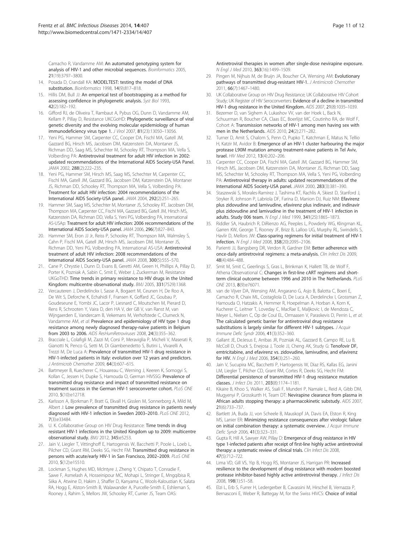Camacho R, Vandamme AM: An automated genotyping system for analysis of HIV-1 and other microbial sequences. Bioinformatics 2005, 21(19):3797–3800.

- 14. Posada D, Crandall KA: MODELTEST: testing the model of DNA substitution. Bioinformatics 1998, 14(9):817–818.
- 15. Hillis DM, Bull JJ: An emperical test of bootstrapping as a method for assessing confidence in phylogenetic analysis. Syst Biol 1993, 42(2):182–192.
- 16. Gifford RJ, de Oliveira T, Rambaut A, Pybus OG, Dunn D, Vandamme AM, Kellam P, Pillay D, Resistance UKCGoHD: Phylogenetic surveillance of viral genetic diversity and the evolving molecular epidemiology of human immunodeficiency virus type 1. J Virol 2007, 81(23):13050–13056.
- 17. Yeni PG, Hammer SM, Carpenter CC, Cooper DA, Fischl MA, Gatell JM, Gazzard BG, Hirsch MS, Jacobsen DM, Katzenstein DA, Montaner JS, Richman DD, Saag MS, Schechter M, Schooley RT, Thompson MA, Vella S, Volberding PA: Antiretroviral treatment for adult HIV infection in 2002: updated recommendations of the International AIDS Society-USA Panel. JAMA 2002, 288(2):222-235.
- 18. Yeni PG, Hammer SM, Hirsch MS, Saag MS, Schechter M, Carpenter CC, Fischl MA, Gatell JM, Gazzard BG, Jacobsen DM, Katzenstein DA, Montaner JS, Richman DD, Schooley RT, Thompson MA, Vella S, Volberding PA: Treatment for adult HIV infection: 2004 recommendations of the International AIDS Society-USA panel. JAMA 2004, 292(2):251–265.
- 19. Hammer SM, Saag MS, Schechter M, Montaner JS, Schooley RT, Jacobsen DM, Thompson MA, Carpenter CC, Fischl MA, Gazzard BG, Gatell JM, Hirsch MS, Katzenstein DA, Richman DD, Vella S, Yeni PG, Volberding PA, International AS-USAp: Treatment for adult HIV infection: 2006 recommendations of the International AIDS Society-USA panel. JAMA 2006, 296(7):827–843.
- 20. Hammer SM, Eron JJ Jr, Reiss P, Schooley RT, Thompson MA, Walmsley S, Cahn P, Fischl MA, Gatell JM, Hirsch MS, Jacobsen DM, Montaner JS, Richman DD, Yeni PG, Volberding PA, International AS-USA: Antiretroviral treatment of adult HIV infection: 2008 recommendations of the International AIDS Society-USA panel. JAMA 2008, 300(5):555–570.
- 21. Cane P, Chrystie I, Dunn D, Evans B, Geretti AM, Green H, Phillips A, Pillay D, Porter K, Pozniak A, Sabin C, Smit E, Weber J, Zuckerman M, Resistance UKGoTHD: Time trends in primary resistance to HIV drugs in the United Kingdom: multicentre observational study. BMJ 2005, 331(7529):1368.
- 22. Vercauteren J, Derdelinckx I, Sasse A, Bogaert M, Ceunen H, De Roo A, De Wit S, Deforche K, Echahidi F, Fransen K, Goffard JC, Goubau P, Goudeseune E, Yombi JC, Lacor P, Liesnard C, Moutschen M, Pierard D, Rens R, Schrooten Y, Vaira D, den HA V, der GB V, van Ranst M, van Wijngaerden E, Vandercam B, Vekemans M, Verhofstede C, Clumeck N, Vandamme AM, et al: Prevalence and epidemiology of HIV type 1 drug resistance among newly diagnosed therapy-naive patients in Belgium from 2003 to 2006. AIDS ResHumRetroviruses 2008, 24(3):355–362.
- 23. Bracciale L, Colafigli M, Zazzi M, Corsi P, Meraviglia P, Micheli V, Maserati R, Gianotti N, Penco G, Setti M, Di Giambenedetto S, Butini L, Vivarelli A, Trezzi M, De Luca A: Prevalence of transmitted HIV-1 drug resistance in HIV-1-infected patients in Italy: evolution over 12 years and predictors. J Antimicrob Chemother 2009, 64(3):607–615.
- 24. Bartmeyer B, Kuecherer C, Houareau C, Werning J, Keeren K, Somogyi S, Kollan C, Jessen H, Dupke S, Hamouda O, German HIVSSG: Prevalence of transmitted drug resistance and impact of transmitted resistance on treatment success in the German HIV-1 seroconverter cohort. PLoS ONE 2010, 5(10):e12718.
- 25. Karlsson A, Bjorkman P, Bratt G, Ekvall H, Gisslen M, Sonnerborg A, Mild M, Albert J: Low prevalence of transmitted drug resistance in patients newly diagnosed with HIV-1 infection in Sweden 2003–2010. PLoS ONE 2012, 7(3):e33484.
- 26. U. K. Collaborative Group on HIV Drug Resistance: Time trends in drug resistant HIV-1 infections in the United Kingdom up to 2009: multicentre observational study. BMJ 2012, 345:e5253.
- 27. Jain V, Liegler T, Vittinghoff E, Hartogensis W, Bacchetti P, Poole L, Loeb L, Pilcher CD, Grant RM, Deeks SG, Hecht FM: Transmitted drug resistance in persons with acute/early HIV-1 in San Francisco, 2002–2009. PLoS ONE 2010, 5(12):e15510.
- 28. Lockman S, Hughes MD, McIntyre J, Zheng Y, Chipato T, Conradie F, Sawe F, Asmelash A, Hosseinipour MC, Mohapi L, Stringer E, Mngqibisa R, Siika A, Atwine D, Hakim J, Shaffer D, Kanyama C, Wools-Kaloustian K, Salata RA, Hogg E, Alston-Smith B, Walawander A, Purcelle-Smith E, Eshleman S, Rooney J, Rahim S, Mellors JW, Schooley RT, Currier JS, Team OAS:

Antiretroviral therapies in women after single-dose nevirapine exposure. N Engl J Med 2010, 363(16):1499–1509.

- 29. Pingen M, Nijhuis M, de Bruijn JA, Boucher CA, Wensing AM: Evolutionary pathways of transmitted drug-resistant HIV-1. J Antimicrob Chemother 2011, 66(7):1467–1480.
- 30. UK Collaborative Group on HIV Drug Resistance; UK Collaborative HIV Cohort Study; UK Register of HIV Seroconverters: Evidence of a decline in transmitted HIV-1 drug resistance in the United Kingdom. AIDS 2007, 21(8):1035–1039.
- 31. Bezemer D, van Sighem A, Lukashov VV, van der Hoek L, Back N, Schuurman R, Boucher CA, Claas EC, Boerlijst MC, Coutinho RA, de Wolf F, Cohort A: Transmission networks of HIV-1 among men having sex with men in the Netherlands. AIDS 2010, 24(2):271–282.
- 32. Turner D, Amit S, Chalom S, Penn O, Pupko T, Katchman E, Matus N, Tellio H, Katzir M, Avidor B: Emergence of an HIV-1 cluster harbouring the major protease L90M mutation among treatment-naive patients in Tel Aviv, Israel. HIV Med 2012, 13(4):202–206.
- 33. Carpenter CC, Cooper DA, Fischl MA, Gatell JM, Gazzard BG, Hammer SM, Hirsch MS, Jacobsen DM, Katzenstein DA, Montaner JS, Richman DD, Saag MS, Schechter M, Schooley RT, Thompson MA, Vella S, Yeni PG, Volberding PA: Antiretroviral therapy in adults: updated recommendations of the International AIDS Society-USA panel. JAMA 2000, 283(3):381–390.
- Staszewski S, Morales-Ramirez J, Tashima KT, Rachlis A, Skiest D, Stanford J, Stryker R, Johnson P, Labriola DF, Farina D, Manion DJ, Ruiz NM: Efavirenz plus zidovudine and lamivudine, efavirenz plus indinavir, and indinavir plus zidovudine and lamivudine in the treatment of HIV-1 infection in adults. Study 006 team. N Engl J Med 1999, 341(25):1865–1873.
- 35. Riddler SA, Haubrich R, DiRienzo AG, Peeples L, Powderly WG, Klingman KL, Garren KW, George T, Rooney JF, Brizz B, Lalloo UG, Murphy RL, Swindells S, Havlir D, Mellors JW: Class-sparing regimens for initial treatment of HIV-1 infection. N Engl J Med 2008, 358(20):2095–2106.
- 36. Parienti JJ, Bangsberg DR, Verdon R, Gardner EM: Better adherence with once-daily antiretroviral regimens: a meta-analysis. Clin Infect Dis 2009, 48(4):484–488.
- 37. Smit M, Smit C, Geerlings S, Gras L, Brinkman K, Hallett TB, de Wolf F, Athena Observational C: Changes in first-line cART regimens and shortterm clinical outcome between 1996 and 2010 in The Netherlands. PLoS ONE 2013, 8(9):e76071.
- 38. van de Vijver DA, Wensing AM, Angarano G, Asjo B, Balotta C, Boeri E, Camacho R, Chaix ML, Costagliola D, De Luca A, Derdelinckx I, Grossman Z, Hamouda O, Hatzakis A, Hemmer R, Hoepelman A, Horban A, Korn K, Kucherer C, Leitner T, Loveday C, MacRae E, Maljkovic I, de Mendoza C, Meyer L, Nielsen C, Op de Coul EL, Ormaasen V, Paraskevis D, Perrin L, et al: The calculated genetic barrier for antiretroviral drug resistance substitutions is largely similar for different HIV-1 subtypes. J Acquir Immune Defic Syndr 2006, 41(3):352–360.
- 39. Gallant JE, DeJesus E, Arribas JR, Pozniak AL, Gazzard B, Campo RE, Lu B, McColl D, Chuck S, Enejosa J, Toole JJ, Cheng AK, Study G: Tenofovir DF, emtricitabine, and efavirenz vs. zidovudine, lamivudine, and efavirenz for HIV. N Engl J Med 2006, 354(3):251–260.
- 40. Jain V, Sucupira MC, Bacchetti P, Hartogensis W, Diaz RS, Kallas EG, Janini LM, Liegler T, Pilcher CD, Grant RM, Cortes R, Deeks SG, Hecht FM: Differential persistence of transmitted HIV-1 drug resistance mutation classes. J Infect Dis 2011, 203(8):1174–1181.
- 41. Kikaire B, Khoo S, Walker AS, Ssali F, Munderi P, Namale L, Reid A, Gibb DM, Mugyenyi P, Grosskurth H, Team DT: Nevirapine clearance from plasma in African adults stopping therapy: a pharmacokinetic substudy. AIDS 2007, 21(6):733–737.
- 42. Bartlett JA, Buda JJ, von Scheele B, Mauskopf JA, Davis EA, Elston R, King MS, Lanier ER: Minimizing resistance consequences after virologic failure on initial combination therapy: a systematic overview. J Acquir Immune Defic Syndr 2006, 41(3):323–331.
- 43. Gupta R, Hill A, Sawyer AW, Pillay D: Emergence of drug resistance in HIV type 1-infected patients after receipt of first-line highly active antiretroviral therapy: a systematic review of clinical trials. Clin Infect Dis 2008, 47(5):712–722.
- 44. Lima VD, Gill VS, Yip B, Hogg RS, Montaner JS, Harrigan PR: Increased resilience to the development of drug resistance with modern boosted protease inhibitor-based highly active antiretroviral therapy. J Infect Dis 2008, 198(1):51–58.
- 45. Elzi L, Erb S, Furrer H, Ledergerber B, Cavassini M, Hirschel B, Vernazza P, Bernasconi E, Weber R, Battegay M, for the Swiss HIVCS: Choice of initial